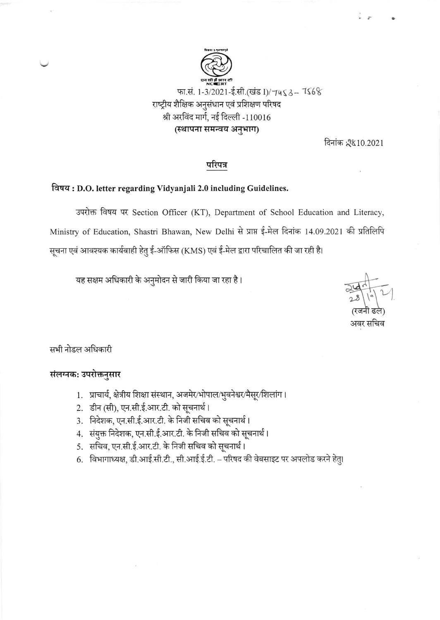

दिनांक 2810.2021

## परिपत्र

## विषय: D.O. letter regarding Vidyanjali 2.0 including Guidelines.

उपरोक्त विषय पर Section Officer (KT), Department of School Education and Literacy, Ministry of Education, Shastri Bhawan, New Delhi से प्राप्त ई-मेल दिनांक 14.09.2021 की प्रतिलिपि सूचना एवं आवश्यक कार्यवाही हेतु ई-ऑफिस (KMS) एवं ई-मेल द्वारा परिचालित की जा रही है।

यह सक्षम अधिकारी के अनुमोदन से जारी किया जा रहा है।

अवर सचिव

सभी नोडल अधिकारी

## संलग्नक: उपरोक्तनुसार

- 1. प्राचार्य, क्षेत्रीय शिक्षा संस्थान, अजमेर/भोपाल/भुवनेश्वर/मैसूर/शिलांग।
- 2. डीन (सी), एन.सी.ई.आर.टी. को सूचनार्थ।
- 3. निदेशक, एन.सी.ई.आर.टी. के निजी सचिव को सूचनार्थ।
- 4. संयुक्त निदेशक, एन.सी.ई.आर.टी. के निजी सचिव को सूचनार्थ।
- 5. सचिव, एन.सी.ई.आर.टी. के निजी सचिव को सूचनार्थ।
- 6. विभागाध्यक्ष, डी.आई.सी.टी., सी.आई.ई.टी. परिषद की वेबसाइट पर अपलोड करने हेतु।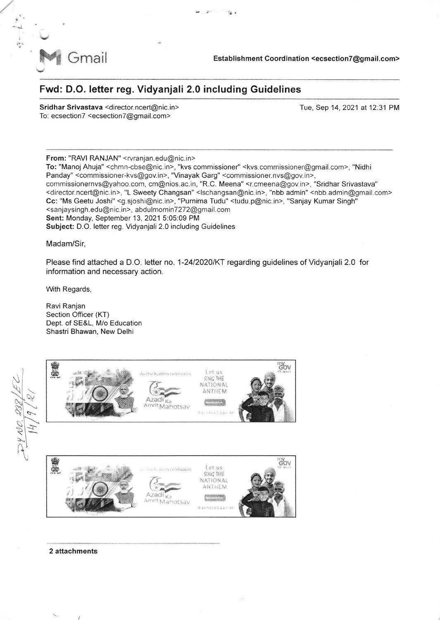

Gmail Establishment Coordination <ecsection7@gmail.com>

## Fwd: D.O. letter reg. Vidyanjali 2.0 including Guidelines

Sridhar Srivastava <director.ncert@nic.in> To: ecsection7 <ecsection7@gmail.com>

Tue, Sep 14, 2021 at 12:31 PM

From: "RAVI RANJAN" <rvranjan. edu@nic. in> To: "Manoj Ahuja" <chmn-cbse@nic.in>, "kvs commissioner" <kvs.commissioner@gmail.com>, "Nidhi Panday" <commissioner-kvs@gov.in>, "Vinayak Garg" <commissioner.nvs@gov.in>, commissionernvs@yahoo.com, cm@nios.ac.in, "R.C. Meena" <rcmeena@gov.in>, "Sridhar Srivastava" <director.ncert@nic.in>, "L Sweety Changsan" <lschangsan@nic.in>, "nbb admin" <nbb.admin@gmail.com> Cc: "Ms Geetu Joshi" <g sjoshi@nic.in>, "Purnima Tudu" <tudu.p@nic. in>, "Sanjay Kumar Singh" <sanjaysingh.edu@nic. in>, abdulmominT2T2@gmail.com Sent: Monday, September 13,2021 5:05:09 PM Subject: D.O. letter reg. Vidyanjali 2.0 including Guidelines

Madam/Sir,

Please find attached a D.O. letter no. 1-24/2020/KT regarding guidelines of Vidyanjali 2.0 for information and necessary action.

With Regards,

Ravi Ranjan Section Officer (KT) Dept. of SE&L, M/o Education Shastri Bhawan, New Delhi



2 attachments

 $\sqrt{ }$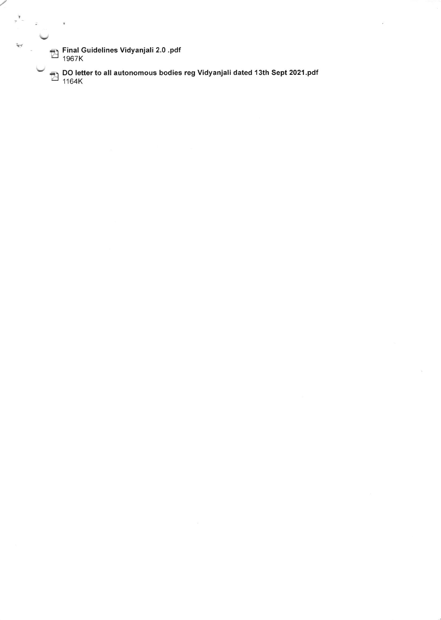Final Guidelines Vidyanjali 2.0 .pdf<br>1967K 1967K

l

 $\frac{1}{2}$  ,  $\frac{1}{2}$  ,  $\frac{1}{2}$ 

 $\bar{y}$ 

DO letter to all autonomous bodies reg Vidyanjali dated 13th Sept 2021.pdf<br>1164K